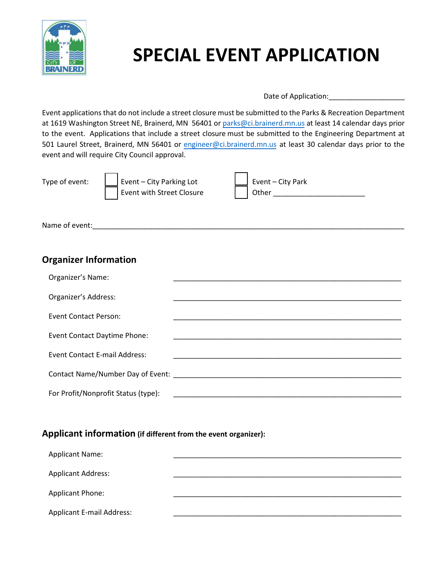

# **SPECIAL EVENT APPLICATION**

Date of Application:

Event applications that do not include a street closure must be submitted to the Parks & Recreation Department at 1619 Washington Street NE, Brainerd, MN 56401 or [parks@ci.brainerd.mn.us](mailto:parks@ci.brainerd.mn.us) at least 14 calendar days prior to the event. Applications that include a street closure must be submitted to the Engineering Department at 501 Laurel Street, Brainerd, MN 56401 o[r engineer@ci.brainerd.mn.us](mailto:engineer@ci.brainerd.mn.us) at least 30 calendar days prior to the event and will require City Council approval.

 $\overline{\phantom{0}}$ 

Type of event:  $\Box$  Event – City Parking Lot Event with Street Closure

| Event – City Park |
|-------------------|
| Other             |
|                   |

Name of event:

# **Organizer Information**

| Organizer's Name:                   |                                                                                                                                                                                                                                |
|-------------------------------------|--------------------------------------------------------------------------------------------------------------------------------------------------------------------------------------------------------------------------------|
| Organizer's Address:                |                                                                                                                                                                                                                                |
| <b>Event Contact Person:</b>        |                                                                                                                                                                                                                                |
| <b>Event Contact Daytime Phone:</b> |                                                                                                                                                                                                                                |
| Event Contact E-mail Address:       |                                                                                                                                                                                                                                |
|                                     | Contact Name/Number Day of Event: Name of Board and Society and Society and Society and Society and Society and Society and Society and Society and Society and Society and Society and Society and Society and Society and So |
| For Profit/Nonprofit Status (type): |                                                                                                                                                                                                                                |

## **Applicant information (if different from the event organizer):**

| <b>Applicant Name:</b>           |  |
|----------------------------------|--|
| <b>Applicant Address:</b>        |  |
| <b>Applicant Phone:</b>          |  |
| <b>Applicant E-mail Address:</b> |  |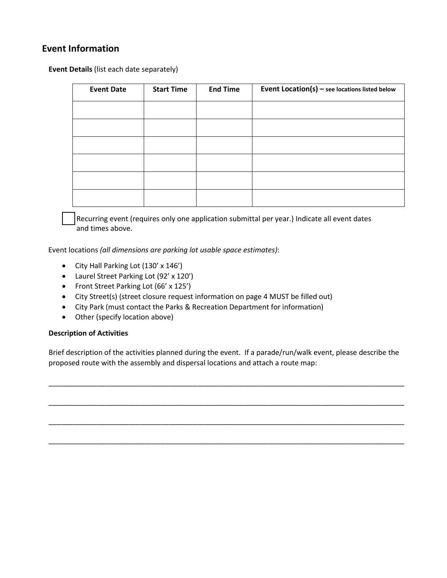## **Event Information**

**Event Details** (list each date separately)

| <b>Event Date</b> | <b>Start Time</b> | <b>End Time</b> | Event $Location(s)$ – see locations listed below |
|-------------------|-------------------|-----------------|--------------------------------------------------|
|                   |                   |                 |                                                  |
|                   |                   |                 |                                                  |
|                   |                   |                 |                                                  |
|                   |                   |                 |                                                  |
|                   |                   |                 |                                                  |
|                   |                   |                 |                                                  |

Recurring event (requires only one application submittal per year.) Indicate all event dates and times above.

Event locations *(all dimensions are parking lot usable space estimates)*:

- City Hall Parking Lot (130' x 146')
- Laurel Street Parking Lot (92' x 120')
- Front Street Parking Lot (66' x 125')
- City Street(s) (street closure request information on page 4 MUST be filled out)
- City Park (must contact the Parks & Recreation Department for information)
- Other (specify location above)

## **Description of Activities**

Brief description of the activities planned during the event. If a parade/run/walk event, please describe the proposed route with the assembly and dispersal locations and attach a route map:

\_\_\_\_\_\_\_\_\_\_\_\_\_\_\_\_\_\_\_\_\_\_\_\_\_\_\_\_\_\_\_\_\_\_\_\_\_\_\_\_\_\_\_\_\_\_\_\_\_\_\_\_\_\_\_\_\_\_\_\_\_\_\_\_\_\_\_\_\_\_\_\_\_\_\_\_\_\_\_\_\_\_\_\_\_\_\_\_\_

\_\_\_\_\_\_\_\_\_\_\_\_\_\_\_\_\_\_\_\_\_\_\_\_\_\_\_\_\_\_\_\_\_\_\_\_\_\_\_\_\_\_\_\_\_\_\_\_\_\_\_\_\_\_\_\_\_\_\_\_\_\_\_\_\_\_\_\_\_\_\_\_\_\_\_\_\_\_\_\_\_\_\_\_\_\_\_\_\_

\_\_\_\_\_\_\_\_\_\_\_\_\_\_\_\_\_\_\_\_\_\_\_\_\_\_\_\_\_\_\_\_\_\_\_\_\_\_\_\_\_\_\_\_\_\_\_\_\_\_\_\_\_\_\_\_\_\_\_\_\_\_\_\_\_\_\_\_\_\_\_\_\_\_\_\_\_\_\_\_\_\_\_\_\_\_\_\_\_

\_\_\_\_\_\_\_\_\_\_\_\_\_\_\_\_\_\_\_\_\_\_\_\_\_\_\_\_\_\_\_\_\_\_\_\_\_\_\_\_\_\_\_\_\_\_\_\_\_\_\_\_\_\_\_\_\_\_\_\_\_\_\_\_\_\_\_\_\_\_\_\_\_\_\_\_\_\_\_\_\_\_\_\_\_\_\_\_\_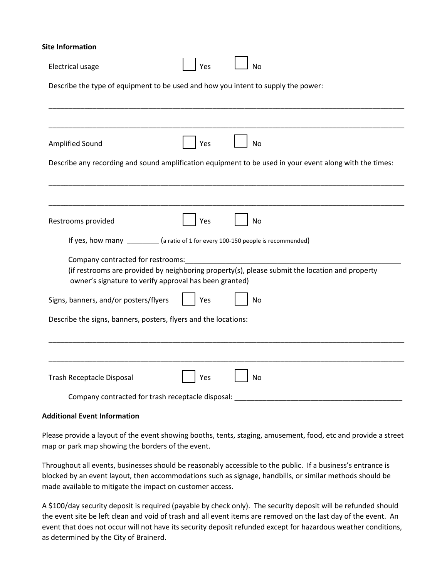#### **Site Information**

| <b>Electrical usage</b>                                                           | Yes | No                                                                                                      |
|-----------------------------------------------------------------------------------|-----|---------------------------------------------------------------------------------------------------------|
| Describe the type of equipment to be used and how you intent to supply the power: |     |                                                                                                         |
|                                                                                   |     |                                                                                                         |
|                                                                                   |     |                                                                                                         |
| Amplified Sound                                                                   | Yes | <b>No</b>                                                                                               |
|                                                                                   |     | Describe any recording and sound amplification equipment to be used in your event along with the times: |
|                                                                                   |     |                                                                                                         |
|                                                                                   |     |                                                                                                         |
| Restrooms provided                                                                | Yes | <b>No</b>                                                                                               |
| If yes, how many _______ (a ratio of 1 for every 100-150 people is recommended)   |     |                                                                                                         |
| Company contracted for restrooms:                                                 |     |                                                                                                         |
| owner's signature to verify approval has been granted)                            |     | (if restrooms are provided by neighboring property(s), please submit the location and property          |
| Signs, banners, and/or posters/flyers                                             | Yes | No                                                                                                      |
| Describe the signs, banners, posters, flyers and the locations:                   |     |                                                                                                         |
|                                                                                   |     |                                                                                                         |
|                                                                                   |     |                                                                                                         |
| Trash Receptacle Disposal                                                         | Yes | <b>No</b>                                                                                               |
| Company contracted for trash receptacle disposal:                                 |     |                                                                                                         |

#### **Additional Event Information**

Please provide a layout of the event showing booths, tents, staging, amusement, food, etc and provide a street map or park map showing the borders of the event.

Throughout all events, businesses should be reasonably accessible to the public. If a business's entrance is blocked by an event layout, then accommodations such as signage, handbills, or similar methods should be made available to mitigate the impact on customer access.

A \$100/day security deposit is required (payable by check only). The security deposit will be refunded should the event site be left clean and void of trash and all event items are removed on the last day of the event. An event that does not occur will not have its security deposit refunded except for hazardous weather conditions, as determined by the City of Brainerd.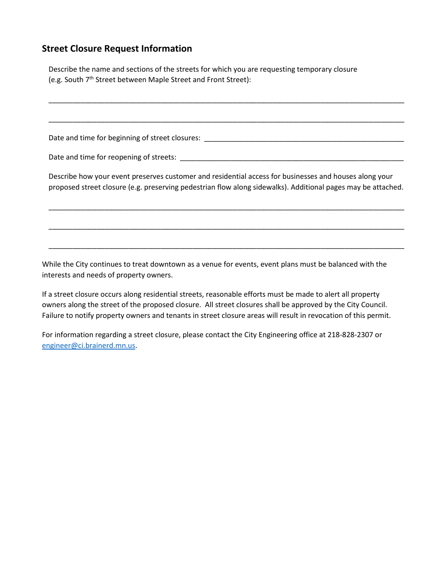## **Street Closure Request Information**

Describe the name and sections of the streets for which you are requesting temporary closure (e.g. South 7<sup>th</sup> Street between Maple Street and Front Street): \_\_\_\_\_\_\_\_\_\_\_\_\_\_\_\_\_\_\_\_\_\_\_\_\_\_\_\_\_\_\_\_\_\_\_\_\_\_\_\_\_\_\_\_\_\_\_\_\_\_\_\_\_\_\_\_\_\_\_\_\_\_\_\_\_\_\_\_\_\_\_\_\_\_\_\_\_\_\_\_\_\_\_\_\_\_\_\_\_ \_\_\_\_\_\_\_\_\_\_\_\_\_\_\_\_\_\_\_\_\_\_\_\_\_\_\_\_\_\_\_\_\_\_\_\_\_\_\_\_\_\_\_\_\_\_\_\_\_\_\_\_\_\_\_\_\_\_\_\_\_\_\_\_\_\_\_\_\_\_\_\_\_\_\_\_\_\_\_\_\_\_\_\_\_\_\_\_\_ Date and time for beginning of street closures: \_\_\_\_\_\_\_\_\_\_\_\_\_\_\_\_\_\_\_\_\_\_\_\_\_\_\_\_\_\_\_\_\_\_\_\_\_\_\_\_\_\_\_\_\_\_\_\_\_\_ Date and time for reopening of streets:  $\Box$ Describe how your event preserves customer and residential access for businesses and houses along your proposed street closure (e.g. preserving pedestrian flow along sidewalks). Additional pages may be attached. \_\_\_\_\_\_\_\_\_\_\_\_\_\_\_\_\_\_\_\_\_\_\_\_\_\_\_\_\_\_\_\_\_\_\_\_\_\_\_\_\_\_\_\_\_\_\_\_\_\_\_\_\_\_\_\_\_\_\_\_\_\_\_\_\_\_\_\_\_\_\_\_\_\_\_\_\_\_\_\_\_\_\_\_\_\_\_\_\_ \_\_\_\_\_\_\_\_\_\_\_\_\_\_\_\_\_\_\_\_\_\_\_\_\_\_\_\_\_\_\_\_\_\_\_\_\_\_\_\_\_\_\_\_\_\_\_\_\_\_\_\_\_\_\_\_\_\_\_\_\_\_\_\_\_\_\_\_\_\_\_\_\_\_\_\_\_\_\_\_\_\_\_\_\_\_\_\_\_ \_\_\_\_\_\_\_\_\_\_\_\_\_\_\_\_\_\_\_\_\_\_\_\_\_\_\_\_\_\_\_\_\_\_\_\_\_\_\_\_\_\_\_\_\_\_\_\_\_\_\_\_\_\_\_\_\_\_\_\_\_\_\_\_\_\_\_\_\_\_\_\_\_\_\_\_\_\_\_\_\_\_\_\_\_\_\_\_\_

While the City continues to treat downtown as a venue for events, event plans must be balanced with the interests and needs of property owners.

If a street closure occurs along residential streets, reasonable efforts must be made to alert all property owners along the street of the proposed closure. All street closures shall be approved by the City Council. Failure to notify property owners and tenants in street closure areas will result in revocation of this permit.

For information regarding a street closure, please contact the City Engineering office at 218-828-2307 or engineer@ci.brainerd.mn.us.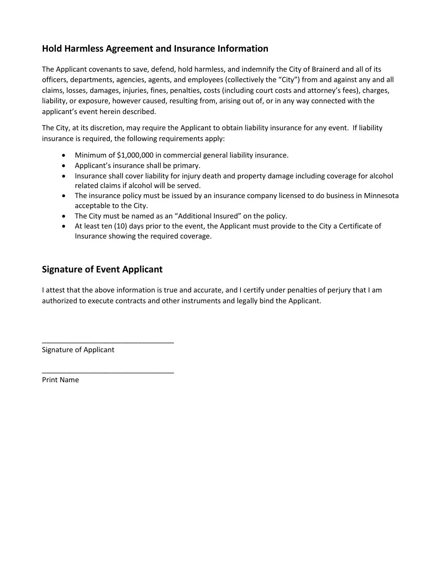# **Hold Harmless Agreement and Insurance Information**

The Applicant covenants to save, defend, hold harmless, and indemnify the City of Brainerd and all of its officers, departments, agencies, agents, and employees (collectively the "City") from and against any and all claims, losses, damages, injuries, fines, penalties, costs (including court costs and attorney's fees), charges, liability, or exposure, however caused, resulting from, arising out of, or in any way connected with the applicant's event herein described.

The City, at its discretion, may require the Applicant to obtain liability insurance for any event. If liability insurance is required, the following requirements apply:

- Minimum of \$1,000,000 in commercial general liability insurance.
- Applicant's insurance shall be primary.
- Insurance shall cover liability for injury death and property damage including coverage for alcohol related claims if alcohol will be served.
- The insurance policy must be issued by an insurance company licensed to do business in Minnesota acceptable to the City.
- The City must be named as an "Additional Insured" on the policy.
- At least ten (10) days prior to the event, the Applicant must provide to the City a Certificate of Insurance showing the required coverage.

# **Signature of Event Applicant**

\_\_\_\_\_\_\_\_\_\_\_\_\_\_\_\_\_\_\_\_\_\_\_\_\_\_\_\_\_\_\_\_\_

\_\_\_\_\_\_\_\_\_\_\_\_\_\_\_\_\_\_\_\_\_\_\_\_\_\_\_\_\_\_\_\_\_

I attest that the above information is true and accurate, and I certify under penalties of perjury that I am authorized to execute contracts and other instruments and legally bind the Applicant.

Signature of Applicant

Print Name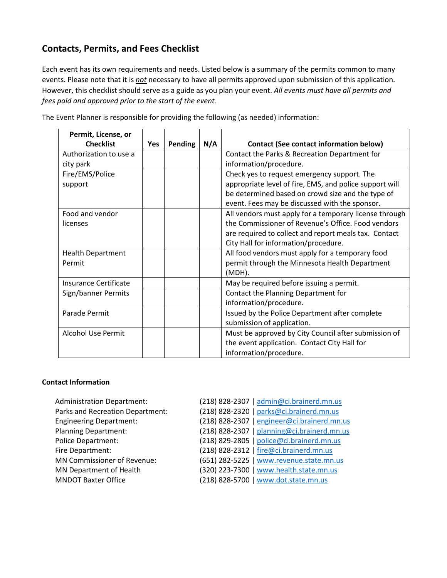# **Contacts, Permits, and Fees Checklist**

Each event has its own requirements and needs. Listed below is a summary of the permits common to many events. Please note that it is *not* necessary to have all permits approved upon submission of this application. However, this checklist should serve as a guide as you plan your event. *All events must have all permits and fees paid and approved prior to the start of the event*.

| Permit, License, or          |     |         |     |                                                         |
|------------------------------|-----|---------|-----|---------------------------------------------------------|
| <b>Checklist</b>             | Yes | Pending | N/A | <b>Contact (See contact information below)</b>          |
| Authorization to use a       |     |         |     | Contact the Parks & Recreation Department for           |
| city park                    |     |         |     | information/procedure.                                  |
| Fire/EMS/Police              |     |         |     | Check yes to request emergency support. The             |
| support                      |     |         |     | appropriate level of fire, EMS, and police support will |
|                              |     |         |     | be determined based on crowd size and the type of       |
|                              |     |         |     | event. Fees may be discussed with the sponsor.          |
| Food and vendor              |     |         |     | All vendors must apply for a temporary license through  |
| licenses                     |     |         |     | the Commissioner of Revenue's Office. Food vendors      |
|                              |     |         |     | are required to collect and report meals tax. Contact   |
|                              |     |         |     | City Hall for information/procedure.                    |
| <b>Health Department</b>     |     |         |     | All food vendors must apply for a temporary food        |
| Permit                       |     |         |     | permit through the Minnesota Health Department          |
|                              |     |         |     | (MDH).                                                  |
| <b>Insurance Certificate</b> |     |         |     | May be required before issuing a permit.                |
| Sign/banner Permits          |     |         |     | Contact the Planning Department for                     |
|                              |     |         |     | information/procedure.                                  |
| Parade Permit                |     |         |     | Issued by the Police Department after complete          |
|                              |     |         |     | submission of application.                              |
| <b>Alcohol Use Permit</b>    |     |         |     | Must be approved by City Council after submission of    |
|                              |     |         |     | the event application. Contact City Hall for            |
|                              |     |         |     | information/procedure.                                  |

The Event Planner is responsible for providing the following (as needed) information:

## **Contact Information**

| <b>Administration Department:</b><br>Parks and Recreation Department:<br><b>Engineering Department:</b><br><b>Planning Department:</b><br><b>Police Department:</b><br>Fire Department:<br>MN Commissioner of Revenue:<br>MN Department of Health | (218) 828-2307   admin@ci.brainerd.mn.us<br>(218) 828-2320   parks@ci.brainerd.mn.us<br>(218) 828-2307   engineer@ci.brainerd.mn.us<br>(218) 828-2307   planning@ci.brainerd.mn.us<br>(218) 829-2805   police@ci.brainerd.mn.us<br>(218) 828-2312   fire@ci.brainerd.mn.us<br>(651) 282-5225   www.revenue.state.mn.us<br>(320) 223-7300   www.health.state.mn.us |
|---------------------------------------------------------------------------------------------------------------------------------------------------------------------------------------------------------------------------------------------------|-------------------------------------------------------------------------------------------------------------------------------------------------------------------------------------------------------------------------------------------------------------------------------------------------------------------------------------------------------------------|
| <b>MNDOT Baxter Office</b>                                                                                                                                                                                                                        | (218) 828-5700   www.dot.state.mn.us                                                                                                                                                                                                                                                                                                                              |
|                                                                                                                                                                                                                                                   |                                                                                                                                                                                                                                                                                                                                                                   |